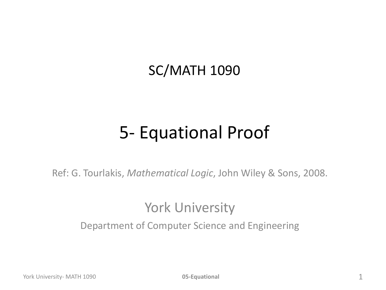### SC/MATH 1090

### 5- Equational Proof

Ref: G. Tourlakis, *Mathematical Logic*, John Wiley & Sons, 2008.

#### York University

Department of Computer Science and Engineering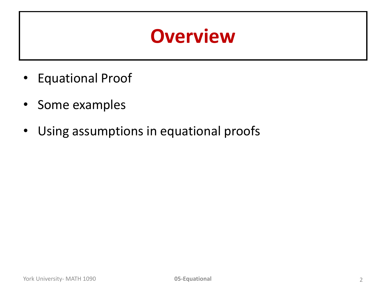# **Overview**

- Equational Proof
- Some examples
- Using assumptions in equational proofs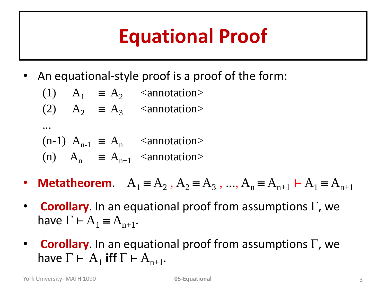# **Equational Proof**

• An equational-style proof is a proof of the form:

(1) 
$$
A_1 \equiv A_2
$$
 *annotation*  
(2)  $A_2 \equiv A_3$  *annotation*  
...  
(n-1)  $A_{n-1} \equiv A_n$  *annotation*

(n) 
$$
A_n \equiv A_{n+1}
$$
 *annotation*

- **Metatheorem**.  $A_1 = A_2$ ,  $A_2 = A_3$ , ...,  $A_n = A_{n+1}$   $\vdash A_1 = A_{n+1}$
- **Corollary.** In an equational proof from assumptions  $\Gamma$ , we have  $\Gamma \vdash A_1 \equiv A_{n+1}$ .
- **Corollary.** In an equational proof from assumptions  $\Gamma$ , we have  $\Gamma \vdash A_1$  iff  $\Gamma \vdash A_{n+1}$ .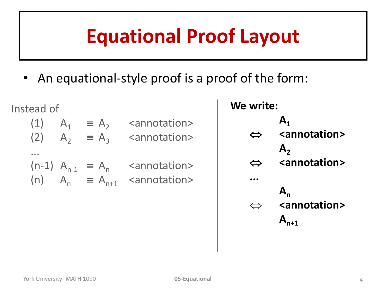# **Equational Proof Layout**

• An equational-style proof is a proof of the form:

Instead of (1)  $A_1 \equiv A_2$  <annotation> ...

(2)  $A_2 \equiv A_3$  <annotation>  $(n-1)$   $A_{n-1} \equiv A_n$  <annotation> (n)  $A_n \equiv A_{n+1}$  <annotation>

**We write:**  $A_1$  $⇔$  <annotation>  $A_2$  $⇔$  <annotation> **...**  $A_n$  $⇔$  **<annotation>**  $A_{n+1}$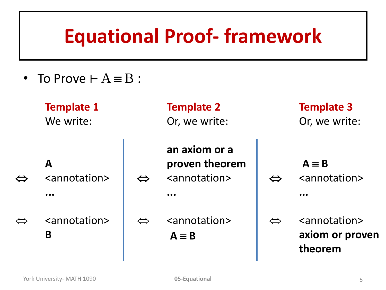# **Equational Proof- framework**

• To Prove  $+A \equiv B$ :

| <b>Template 1</b> | <b>Template 2</b> | <b>Template 3</b> |
|-------------------|-------------------|-------------------|
| We write:         | Or, we write:     | Or, we write:     |
|                   | an axiom or a     |                   |

- **A**
- $\Leftrightarrow$  <annotation> **...**
- $\Leftrightarrow$  <annotation> **B**

**an axiom or a proven theorem**  $\Leftrightarrow$  <annotation> **...**  $\Leftrightarrow$  <annotation>

 $A \equiv B$  $\Leftrightarrow$  <annotation> **...**

 $\Leftrightarrow$  <annotation> **axiom or proven theorem**

 $A \equiv B$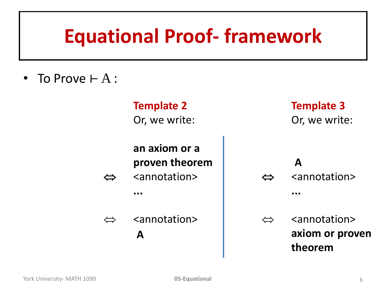# **Equational Proof- framework**

• To Prove  $\vdash A$  :

**Template 2** Or, we write:

**an axiom or a proven theorem**  $\Leftrightarrow$  <annotation> **...**

 $\Leftrightarrow$  <annotation> **A** 

**Template 3** Or, we write:

**A**   $\Leftrightarrow$  <annotation> **...**  $\Leftrightarrow$  <annotation> **axiom or proven theorem**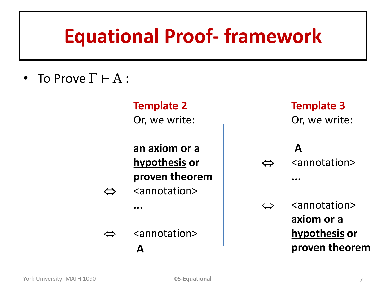# **Equational Proof- framework**

• To Prove  $\Gamma \vdash A$  :

**Template 2** Or, we write:

**an axiom or a hypothesis or proven theorem**

 $\Leftrightarrow$  <annotation>

**...**

 $\Leftrightarrow$  <annotation> **A** 

**Template 3** Or, we write:

**A**   $\Leftrightarrow$  <annotation>

**...**

 $\Leftrightarrow$  <annotation> **axiom or a hypothesis or proven theorem**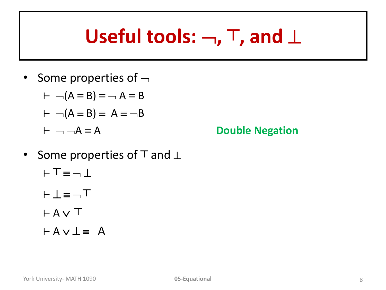# **Useful tools: , ┬, and**

• Some properties of  $\neg$ 

$$
\vdash \neg(A \equiv B) \equiv \neg A \equiv B
$$

$$
\vdash \neg(A \equiv B) \equiv A \equiv \neg B
$$

$$
\vdash \neg \neg A \equiv A
$$

**Double Negation** 

- Some properties of  $\top$  and ⊥ ⊢⊤≡⊣⊥
	- ⊢⊥≡⊣⊤
	- ⊢ A ∨ T
	- $\vdash A \lor \bot \equiv A$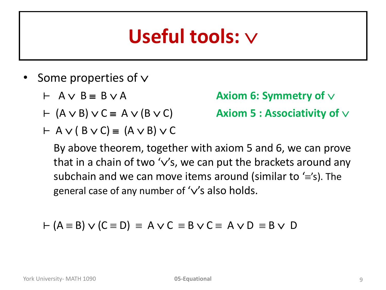# **Useful tools:**

- Some properties of  $\vee$ 
	-
	-
	- $\vdash$  A  $\lor$  (B  $\lor$  C)  $\equiv$  (A  $\lor$  B)  $\lor$  C

 $\vdash$   $A \lor B \equiv B \lor A$  **Axiom 6: Symmetry of**  $\lor$ 

 $\vdash$   $(A \lor B) \lor C \equiv A \lor (B \lor C)$  **Axiom 5 : Associativity of**  $\lor$ 

By above theorem, together with axiom 5 and 6, we can prove that in a chain of two ' $\vee$ 's, we can put the brackets around any subchain and we can move items around (similar to  $\equiv$ 's). The general case of any number of ' $\vee$ 's also holds.

$$
\vdash (A \equiv B) \lor (C \equiv D) \equiv A \lor C \equiv B \lor C \equiv A \lor D \equiv B \lor D
$$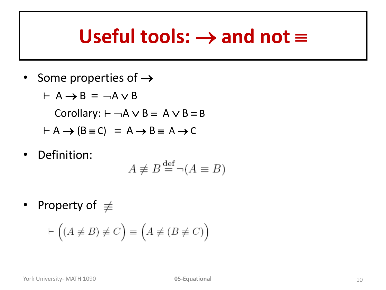## Useful tools:  $\rightarrow$  and not  $\equiv$

- Some properties of  $\rightarrow$ 
	- $\vdash$  A  $\rightarrow$  B  $\equiv$   $\neg$ A  $\vee$  B

Corollary:  $\vdash \neg A \lor B \equiv A \lor B \equiv B$ 

$$
\vdash A \rightarrow (B \equiv C) \equiv A \rightarrow B \equiv A \rightarrow C
$$

• Definition:

$$
A \not\equiv B \stackrel{\text{def}}{=} \neg(A \equiv B)
$$

• Property of  $\not\equiv$ 

$$
\vdash \left( (A \not\equiv B) \not\equiv C \right) \equiv \left( A \not\equiv (B \not\equiv C) \right)
$$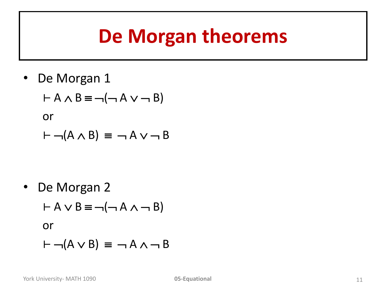# **De Morgan theorems**

• De Morgan 1

$$
\vdash A \land B \equiv \neg(\neg A \lor \neg B)
$$
  
or  

$$
\vdash \neg(A \land B) \equiv \neg A \lor \neg B
$$

• De Morgan 2  $\vdash A \lor B \equiv \neg(\neg A \land \neg B)$ or  $\vdash \neg (A \lor B) \equiv \neg A \land \neg B$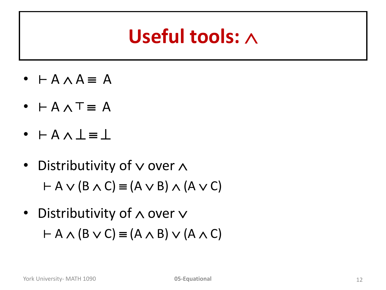# **Useful tools:**

- $\vdash A \land A \equiv A$
- **⊢ A ∧ T**  $\equiv$  **A**
- $\cdot$  ⊢ $A \wedge \bot \equiv \bot$
- Distributivity of  $\vee$  over  $\wedge$  $\vdash$  A  $\lor$  (B  $\land$  C)  $\equiv$  (A  $\lor$  B)  $\land$  (A  $\lor$  C)
- Distributivity of  $\wedge$  over  $\vee$  $\vdash$  A  $\land$  (B  $\lor$  C)  $\equiv$  (A  $\land$  B)  $\lor$  (A  $\land$  C)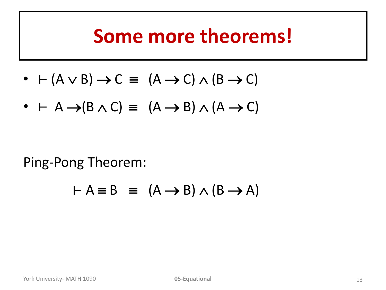### **Some more theorems!**

- $(A \vee B) \rightarrow C \equiv (A \rightarrow C) \wedge (B \rightarrow C)$
- $\vdash$  A  $\rightarrow$  (B  $\land$  C)  $\equiv$  (A  $\rightarrow$  B)  $\land$  (A  $\rightarrow$  C)

Ping-Pong Theorem:

$$
\vdash A \equiv B \equiv (A \rightarrow B) \land (B \rightarrow A)
$$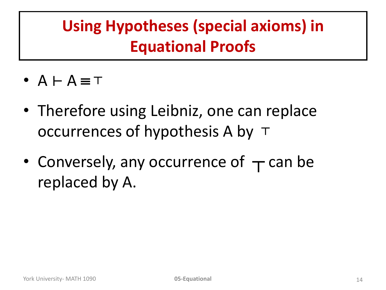### **Using Hypotheses (special axioms) in Equational Proofs**

- A ⊢ A ≡⊤
- Therefore using Leibniz, one can replace occurrences of hypothesis A by  $\top$
- Conversely, any occurrence of  $\tau$  can be replaced by A.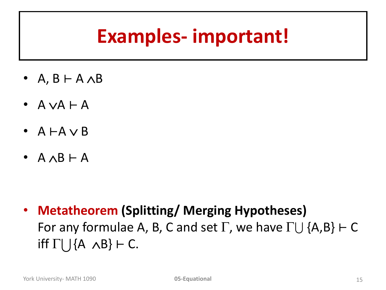# **Examples- important!**

- A,  $B$   $\vdash$  A  $\land$  B
- $A \vee A \vdash A$
- $A \vdash A \vee B$
- $A \wedge B \vdash A$

• **Metatheorem (Splitting/ Merging Hypotheses)**  For any formulae A, B, C and set  $\Gamma$ , we have  $\Gamma \cup \{A,B\} \vdash C$  iff  $\Gamma \cup \{A \land B\} \vdash C$ .<br>
York University- MATH 1090 **05-Equational** 15 iff  $\Gamma \cup \{A \land B\}$  ⊢ C.